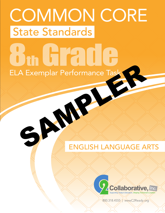# COMMON CORE State Standards ELA Exemplar Performance Task 8th Glub

# ENGLISH LANGUAGE ARTS SAMPLER



800.318.4555 / www.C2Ready.org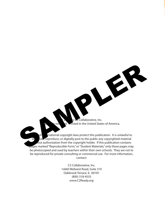© 2014 by C2 Collaborative, Inc. rest d. Printed in the United States of America.

SAMPLER

d **International copyright laws protect this publication.** It is unlawful to duplicate, reproduce, or digitally post to the public any copyrighted material fout authorization from the copyright holder. If this publication contains pages marked "Reproducible Form," or "Student Materials," only these pages may be photocopied and used by teachers within their own schools. They are not to be reproduced for private consulting or commercial use. For more information, contact:

> C2 Collaborative, Inc. 1s660 Midwest Road, Suite 310 Oakbrook Terrace, IL 60181 (800) 318-4555 www.C2Ready.org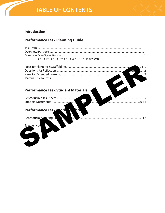## **TABLE OF CONTENTS**

#### **Introduction**

#### **Performance Task Planning Guide**

|                          |             | $1 - 2$                                                                                          |
|--------------------------|-------------|--------------------------------------------------------------------------------------------------|
|                          |             |                                                                                                  |
|                          |             |                                                                                                  |
|                          |             |                                                                                                  |
|                          |             |                                                                                                  |
|                          |             |                                                                                                  |
|                          |             |                                                                                                  |
|                          |             |                                                                                                  |
|                          |             | $3 - 5$                                                                                          |
|                          |             |                                                                                                  |
|                          |             |                                                                                                  |
| Performance Task<br>orii |             |                                                                                                  |
|                          |             |                                                                                                  |
| Reproducible Sering Ru   |             |                                                                                                  |
|                          |             |                                                                                                  |
|                          |             |                                                                                                  |
|                          |             |                                                                                                  |
|                          |             |                                                                                                  |
|                          |             |                                                                                                  |
|                          |             |                                                                                                  |
|                          | Teacher Not | CCRA.R.1, CCRA.R.2, CCRA.W.1, RI.8.1, RI.8.2, W.8.1<br><b>Performance Task Student Materials</b> |

 $\mathbf{i}$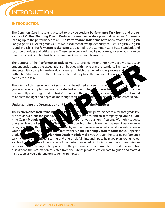# INTRODUCTION

#### **INTRODUCTION**

The Common Core Institute is pleased to provide student **Performance Task Items** and the resource of **Online Planning Coach Modules** for teachers as they plan their units and/or lessons leading up to the performance tasks. The **Performance Task Items** have been created for English Language Arts (ELA) for grades 3-8, as well as for the following secondary courses: English I, English II, and English III. **Performance Tasks Items** are aligned to the Common Core State Standards and focus on priorities and critical areas. These resources, designed by educators, for educators, can be used district-wide, school-wide or by teachers in individual classrooms.

The purpose of the **Performance Task Items** is to provide insight into how deeply a particular student understands the expectations embedded within one or more standard. Each task  $p$ students with a complex, real-world challenge in which the scenario, role, process and authentic. Students must then demonstrate that they have the skills and knowledge complete the task.

The intent of this resource is not so much to be utilized as a summative you as an educator plan backwards for student success. These sources help you plan instruction purposefully and design student tasks/experiences that required that  $\frac{1}{2}$  ther levels of communities demand to address the rigor and depth of knowledge required for students to be college and career ready.

#### Understanding the Organization and Suggested Uses of the Resources

The **Performance Task Items Resource Package contains the performance task for that grade lev**el or course, a rubric for scoring, **student resources** or articles, and an accompanying **Online Planning Coach Module** to seas you see the coach" as you plan units/lessons. We highly suggest that you view the **Per<sub>ton</sub> Task Introduction Module** to learn the purpose of performance tasks, how the differ from other sessiments, and how performance tasks can drive instruction in your class som. Next, while to view the **Online Planning Coach Module** for your specific grade/**Conline Planning Coach Module** walks you through the specific performance task including the prictor scoring, and offers helpful hints and tips to help you plan your unit/lesson leading to the administration of the performance task, including common student misconceptions. Since the suggested purpose of the performance task items is to be used as a formative assessment, the information collected from the rubrics provides critical data to guide and scaffold instruction as you differentiate student experiences. puppes of the **Performance Hask length** and distance in the performance task controlled in the performance and the performance and the search of this resource is not so much to be utilized as a summative plete the task.<br>
T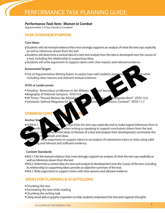# PERFORMANCE TASK PLANNING GUIDE

#### *Performance Task Item: Women in Combat*

*(Approximately 2-3 Class Periods to Complete)*

#### **TASK OVERVIEW/PURPOSE**

#### **Core Ideas:**

- Students will cite textual evidence that most strongly supports an analysis of what the text says explicitly as well as inferences drawn from the text.
- Students will determine a central idea of a text and analyze how the idea is developed over the course of a text, including the relationship to supporting ideas.
- Students will write arguments to support claims with clear reasons and relevant evidence.

#### **Assessment Target:**

• Use of Argumentative Writing Rubric to assess how well students presented and argument while including clear reasons and relevant textual evidence.

#### **ATOS or Lexile Levels:**

- Timeline: Restrictions on Women in the Military  $-$  revel because
- Biography of Deborah Sampson ATOS 9.9
- NY Times: "Should Women Be Allowed to Fight on the Front Alongside Men?" ATOS 12.6
- Scholastic Upfront Magazine for Teens: Should Women Be Allowed in Combat?" ATOS 11.7

#### **COMMON CORE**

#### **Anchor Star**

 $\bullet$  CCRA.R.1: Read closely to determine what the text says explicitly and to make logical inferences from it; ecific tube specific speaking to support conclusions drawn from the text.<br>CCBA P 2: D anne central ideas or themes of a text and analyze their development: summarize the ine central ideas or themes of a text and analyze their development; summarize the rt details and ideas. SASSES mention and relevant text says explicitly and to make logical inferences<br>
SASSES mentions and relevant textual evidence.<br>
ATOS or Lexile Levels:<br>
Timeline: Restrictions on Women in the Military<br>
Biography of Deborah

 $\bullet$  CCRA. Write arguments to support claims in an analysis of substantive topics or texts using valid ig and relevant and sufficient evidence.

#### **Content Standards:**

- RI.8.1: Cite the textual evidence that most strongly supports an analysis of what the text says explicitly as well as inferences drawn from the text.
- RI.8.2: Determine a central idea of a text and analyze its development over the course of the text, including its relationship to supporting ideas; provide an objective summary of the text.
- W.8.1: Write arguments to support claims with clear reasons and relevant evidence.

#### **IDEAS FOR PLANNING & SCAFFOLDING**

- Chunking the text
- Annotating the text while reading
- Chunking the writing task
- <sup>l</sup>Using visual aids or graphic organizers to help students understand the text and organize thoughts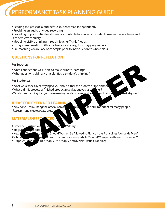# PERFORMANCE TASK PLANNING GUIDE

- Reading the passage aloud before students read independently
- <sup>l</sup>Providing an audio or video recording.
- <sup>l</sup>Providing opportunities for student accountable talk, in which students use textual evidence and academic vocabulary
- Modeling visible thinking through Teacher Think-Alouds
- Using shared reading with a partner as a strategy for struggling readers
- Pre-teaching vocabulary or concepts prior to introduction to whole class

#### **QUESTIONS FOR REFLECTION**

#### **For Teacher:**

- What connections was I able to make prior to learning?
- What questions did I ask that clarified a student's thinking?

#### **For Students:**

- What was especially satisfying to you about either the process or the finished
- . What did this process or finished product reveal about you as a learner?
- What's the one thing that you have seen in your classmates' work or process that you would like to try next?

#### **IDEAS FOR EXTENDED LEARNIN**

• Why do you think lifting the official ban or women in work is still important for many people? Research and create a class present

#### **MATERIALS/RESOURCES**

- Timeline: **Restriction** in Women Military
	-
- $\bullet$  Biography of Deborah Sampson  $\bullet$
- 
- 

• New York Times blog/articles: "Should Women Be Allowed to Fight on the Front Lines Alongside Men?" • Scholastic New York Times Upfront magazine for teens article: "Should Women Be Allowed in Combat?" • Graphic Organizer, Tree Map, Circle Map, Controversial Issue Organizer reacher:<br>
at connections was l able to make prior to learning?<br>
at questions did l ask that clarified a student's thinking?<br>
at at asspecially satisfying to you about either the process or the finishe<br>
at did this process

ELA EXEMPLAR PERFORMANCE TASK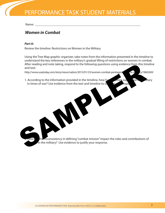Name: \_\_\_\_\_\_\_\_\_\_\_\_\_\_\_\_\_\_\_\_\_\_\_\_\_\_\_\_\_\_\_\_\_\_\_\_\_\_\_\_\_\_\_\_\_\_\_\_\_\_\_\_\_\_\_\_\_\_\_\_\_\_\_\_\_\_\_

#### *Women in Combat*

#### *Part A:*

Review the timeline: Restrictions on Women in the Military.

Using the Tree Map graphic organizer, take notes from the information presented in the timeline to understand the key milestones in the military's gradual lifting of restrictions on women in combat. After reading and note taking, respond to the following questions using evidence from this timeline and text.

http://www.usatoday.com/story/news/nation/2013/01/23/women-combat-pentagon ta-millity/1860269/



2. How the inconsistency in defining "combat mission" impact the roles and contributions of In the military? Use evidence to justify your response.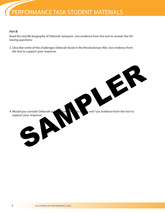#### *Part B:*

Read the real life biography of Deborah Sampson. Use evidence from the text to answer the following questions:

3. Describe some of the challenges Deborah faced in the Revolutionary War. Use evidence from the text to support your response.

4. Would you consider Deborah a "solligity of why or why not? Use evidence from the text to support your response. SAMPLER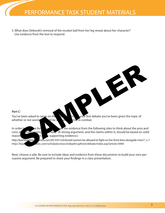5. What does Deborah's removal of the musket ball from her leg reveal about her character? Use evidence from the text to respond.

#### *Part C:*

You've been asked to serve on the deed by detail the vour first debate you've been given the topic of whether or not women should be all  $\alpha$  ved to serve in combat.

In order to prepare for  $\mathbf{r}$  and  $\mathbf{v}$  use the evidence from the following sites to think about the pros and cons of women serving in mbat. (A strong argument, and the claims within it, should be based on solid reason  $\mathsf{d} \mathsf{u}$  / supporting evidence.) http://learning.blogs.nes.com/2013/01/24/should-women-be-allowed-to-fight-on-the-front-lines-alongside-men/?\_r=1

SAMPLER

http://teacher.com/scholasticnews/indepth/upfront/debate/index.asp?article=0905

Next, choose a side. Be sure to include ideas and evidence from these documents to build your own persuasive argument. Be prepared to share your findings in a class presentation.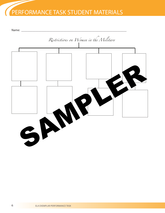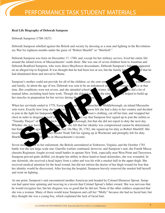#### **Real Life Biography of Deborah Sampson**

Deborah Sampson (1760-1827)

Deborah Sampson rebelled against the British and society by dressing as a man and fighting in the Revolutionary War for eighteen months under the guise of "Robert Shurtlif" or "Shirtlieff."

Deborah Sampson was born on December 17, 1760, and, except for her military service, lived her entire life around the inland towns of Massachusetts' south shore. She was one of seven children born to Jonathan and Deborah Bradford Sampson, who were direct Mayflower descendants. Deborah Sampson's father lisappeared on an alleged trip to England. It was thought that he had been lost at sea, but the family later and that he had abandoned them and moved to Maine.

Sampson's mother could not provide for all of the children, so she sent some of them and away to live with friends and family. At about the age of ten, Deborah was sent to be an indentured servant, a common practice at that time. Her conditions were not severe, and she attended school in the winter. In the summer she did a lot of manual labor, including hard farm work. Though she didn't know the time, the time, this work helped to build up her muscles in preparation for her service during the **Revolutionary War.** The parameters of the Revolutionary Mar

When her servitude ended in 1779, Sampson ame a schoolteacher in Middleborough, an inland Massachusetts town. Exactly how long she taught is  $\mathbf{r}$ , but  $\mathbf{r}$ , but  $\mathbf{r}$  had a duty to her country and decided to join in the fight for Independence. She made herself some men's clothing, cut off her hair, and wrapped her chest in order to disguise herself as  $\alpha$  man. Some writers say that Sampson first signed up to join the militia as "Timothy Thayer" of Carvenich is nearly Michael Middleborough, but that she did not report to duty the next day. Whether she was having second the she felt that her identity was compromised cannot be determined, but Sampson tried again near the war the war the war the war the war the war the war the war the war the war the war the war the war the war the war the war the war the war the war the war the war the war the war the war t receive<sup>d</sup> pounds from Auster Master Noah Taft for signing up in Wochester and promptly left for duty. Shurtlifft still exists in Massachusetts's records. The method of the method of the third the British survey of the method of the method of the method of the children and moved to Mainten and the children, so she sent sometimes and the band oned them and moved to Mainten an

Seven months prior to her enlistment, the British surrendered at Yorktown, Virginia, and the October 1781 battle was the last large-scale one. Guerilla warfare continued, however, and Sampson's unit, the Fourth Massachusetts Regiment, fought several small battles in upstate New York, especially near West Point and Tarrytown. Sampson proved quite skillful, yet despite her ability in these hand-to-hand skirmishes, she was wounded. In one skirmish, she received a head injury from a saber and was hit with a musket ball in the upper thigh. She received medical attention for the head wound, but did not inform the doctor of her thigh wound for fear that her identity would be discovered. After leaving the hospital, Sampson bravely removed the musket ball herself and went on fighting.

At one point, Sampson's unit encountered another American unit headed by Colonel Ebenezer Sproat. Sampson had spent time spinning and weaving in a tavern that Colonel Sproat's father owned. She was nervous that he would recognize her, but her disguise was so good that he did not. None of the other soldiers suspected that she was a woman. Many of them would tease Sampson and call her "Molly" because she had no facial hair, but they thought she was a young boy, which explained the lack of facial hair.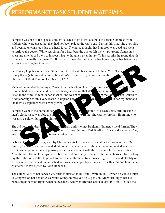Sampson was one of the special soldiers selected to go to Philadelphia to defend Congress from soldiers who were upset that they had not been paid at the war's end. During this time, she grew sick and became unconscious due to a head fever. The nurse thought that Sampson was dead and went to retrieve the doctor. While searching for a heartbeat the doctor felt the wraps around Sampson's chest and unwrapped them to inspect what he thought was an injury. To his surprise he found that his patient was actually a woman. Dr. Barnabus Binney decided to take her home to give her better care without revealing her identity.

Dr. Binney kept her secret, and Sampson returned with her regiment to New York. There Henry Knox (who would become the nation's first Secretary of War) honorably discharged "Robert Tennis And "Robert" Shurtleff" at West Point on October 25, 1783.

Meanwhile, in Middleborough, Massachusetts, her hometown, Sampson was Rumors had been spread and there was heavy suspicion that she sed in ment  $\mathcal{F}$  and enlisted in the army. In fact, in her absence, she was excomediated the First Baptist Church of Middleborough for this very reason. Sampson had already left Massachusetts with her regiment and the town's suspicions were never proven. out revealing her identity.<br>
Sinney kept her secret, and Sampson returned with her regiment to New York. There<br>
y Knox (who would become the nation's first Secretary of War) honorably discribed<br>
eleft" at West Point on Oct

Sampson went to the home of her aunt, Alice Waters, in Supergettian, Massachusetts. Still dressing in men's clothes, she was able to convince most  $\mathbf{h}$  town that she was her brother, Ephraim, who was also a soldier during revolution

She did not begin dress like a woman again until she met Benjamin Gannet, a local farmer. They were married April 17, 1785. The couple had three children, Earl Bradford, Mary and Patience. They even adopted a local orphan, Susanna Baker Shepard.

Deborah Ganner was recognized by Massachusetts less than a decade after the war was over. On January 19, 1792, she was awarded 34 pounds, which included the interest accumulated since her 1783 discharge. A document praising her service was sent with the pension. The document stated "that the said Deborah Sampson exhibited an extraordinary instance of feminine heroism by discharging the duties of a faithful, gallant soldier, and at the same time preserving the virtue and chastity of her sex unsuspected and unblemished and was discharged from the service with a fair and honorable character." It was signed by John Hancock.

The authenticity of her service was further attested to by Paul Revere in 1804, when he wrote a letter to Congress on her behalf. As a result, Sampson received a US pension. More strikingly, her husband sought pension rights when he became a widower after her death at age sixty-six. He died the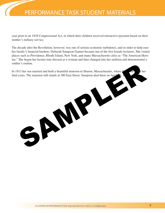year prior to an 1838 Congressional Act, in which their children received retroactive payment based on their mother's military service.

The decade after the Revolution, however, was one of serious economic turbulence, and in order to help ease her family's financial burdens, Deborah Sampson Gannet became one of the first female lecturers. She visited places such as Providence, Rhode Island, New York, and many Massachusetts cities as "The American Heroine." She began her lecture tour dressed as a woman and later changed into her uniform and demonstrated a soldier's routine.

In 1813 her son married and built a beautiful mansion in Sharon, Massachusetts, where  $\sum$  son spent her final years. The mansion still stands at 300 East Street. Sampson died there on April

SAMPLE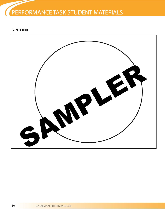Circle Map

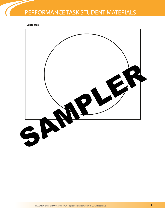#### Circle Map

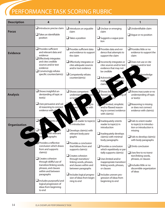# PERFORMANCE TASK SCORING RUBRIC

| <b>Description</b>  | 4                                                                                                                                                                                                                                                                                                                                                                                               | 3                                                                                                                                                                                                                                                                                                                                                                                                   | $\overline{\mathbf{2}}$                                                                                                                                                                                                                                                                                                                                                                                   |                                                                                                                                                                                                                                                                                                                                               |
|---------------------|-------------------------------------------------------------------------------------------------------------------------------------------------------------------------------------------------------------------------------------------------------------------------------------------------------------------------------------------------------------------------------------------------|-----------------------------------------------------------------------------------------------------------------------------------------------------------------------------------------------------------------------------------------------------------------------------------------------------------------------------------------------------------------------------------------------------|-----------------------------------------------------------------------------------------------------------------------------------------------------------------------------------------------------------------------------------------------------------------------------------------------------------------------------------------------------------------------------------------------------------|-----------------------------------------------------------------------------------------------------------------------------------------------------------------------------------------------------------------------------------------------------------------------------------------------------------------------------------------------|
| <b>Focus</b>        | $\Box$ Introduces precise claim<br>Takes an identifiable<br>position                                                                                                                                                                                                                                                                                                                            | $\Box$ Introduces an arguable<br>claim<br>$\Box$ Takes a position                                                                                                                                                                                                                                                                                                                                   | $\Box$ Unclear or emerging<br>claim<br>Suggests a vague posi-<br>tion                                                                                                                                                                                                                                                                                                                                     | Unidentifiable claim<br>Vague or no position                                                                                                                                                                                                                                                                                                  |
| <b>Evidence</b>     | $\Box$ Provides sufficient<br>and relevant data and<br>evidence<br>$\Box$ Effectively integrates<br>and cites credible<br>sources and/or text<br>evidence<br>Convincingly refutes<br>specific counterclaim(s)                                                                                                                                                                                   | $\Box$ Provides sufficient data<br>and evidence to support<br>the claim<br>Effectively integrates or<br>cites adequate sources<br>and/or text evidence<br>Competently refutes<br>counterclaim(s)                                                                                                                                                                                                    | $\Box$ Provides data and evi-<br>dence that attempts to<br>support the claim<br>$\Box$ Incorrectly integrates or<br>cites sources and/or text<br>evidence that may not<br>be credible<br>Acknowled<br>nini-<br>opposing<br>mally<br>claim(                                                                                                                                                                | $\Box$ Provides little or no<br>evidence to support the<br>claim<br>$\Box$ Does not use or cite<br>sources and/or text<br>ો<br>F≥<br>acknowledge<br>ŋ(s)                                                                                                                                                                                      |
| <b>Analysis</b>     | $\Box$ Shows insightful un-<br>derstanding of topic or<br>text(s)<br>$\Box$ Uses persuasive and val-<br>id reasoning to connect<br>evidence with cla                                                                                                                                                                                                                                            | $\Box$ Shows competent<br>understandin<br>opic<br>or text <sup>(e</sup><br>$\frac{1}{9}$ to<br>es va<br>ce with<br>iect                                                                                                                                                                                                                                                                             | $\Box$ Shows limi<br>flawed unde<br>ang of<br>opic<br>t(s)<br>es limited, simplistic<br>and/or flawed reason-<br>ing to connect evidence<br>with claim(s)                                                                                                                                                                                                                                                 | Shows inaccurate or no<br>understanding of topic<br>or text(s)<br>Reasoning is missing<br>or does not connect<br>evidence with claim(s)                                                                                                                                                                                                       |
| <b>Organization</b> | sients rel<br>$\square$ Th<br>with relevant<br>cla<br>ragraphs<br>Provides a reflective<br>conclusion which draws<br>from and supports<br>claim(s)<br>$\Box$ Creates cohesion<br>through skillful use of<br>transition/linking words,<br>phrases, and clauses<br>within and between<br>paragraphs<br>$\Box$ Includes purposeful and<br>logical progression of<br>ideas from beginning<br>to end | ents reader to topic(s)<br>in introduction<br>$\Box$ Develops claim(s) with<br>relevant body para-<br>graphs<br>$\Box$ Provides a conclusion<br>that follows from and<br>supports claim(s)<br>$\square$ Creates cohesion<br>through transition/<br>linking words, phrases,<br>and clauses within and<br>between paragraphs<br>Includes logical progres-<br>sion of ideas from begin-<br>ning to end | Inadequately orients<br>reader to topic(s) in<br>introduction<br>Inadequately develops<br>claim(s) with minimal<br>body paragraphs<br>Provides a conclusion<br>which repetitively or par-<br>tially supports claim(s)<br>Uses limited and/or<br>$\sqcup$<br>inappropriate transition/<br>linking words, phrases,<br>or clauses<br>⊔<br>Includes uneven pro-<br>gression of ideas from<br>beginning to end | $\Box$ Fails to orient reader<br>to topic(s) in introduc-<br>tion or introduction is<br>missing<br>$\Box$ Fails to develop claim(s)<br>with body paragraphs<br>$\Box$ Omits conclusion<br>$\Box$ Uses few to no transi-<br>tion/linking words,<br>phrases, or clauses<br>$\Box$ Includes little or no<br>discernible organization<br>of ideas |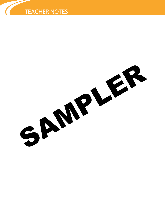